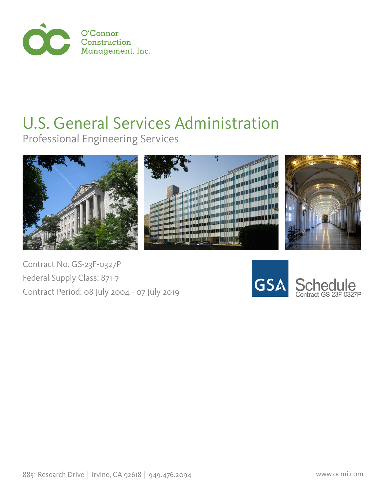

## U.S. General Services Administration

Professional Engineering Services







Contract No. GS-23F-0327P Federal Supply Class: 871-7 Contract Period: 08 July 2004 - 07 July 2019

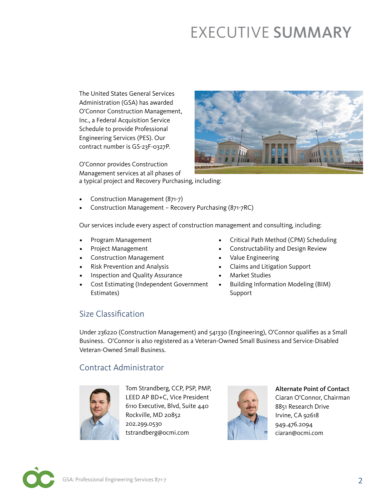### EXECUTIVE SUMMARY

The United States General Services Administration (GSA) has awarded O'Connor Construction Management, Inc., a Federal Acquisition Service Schedule to provide Professional Engineering Services (PES). Our contract number is GS-23F-0327P.

O'Connor provides Construction Management services at all phases of a typical project and Recovery Purchasing, including:



- Construction Management (871-7)
- Construction Management Recovery Purchasing (871-7RC)

Our services include every aspect of construction management and consulting, including:

- Program Management
- Project Management
- Construction Management
- Risk Prevention and Analysis
- Inspection and Quality Assurance
- Cost Estimating (Independent Government Estimates)
- Critical Path Method (CPM) Scheduling
- Constructability and Design Review
- Value Engineering
- Claims and Litigation Support
- Market Studies
- Building Information Modeling (BIM) Support

#### Size Classification

Under 236220 (Construction Management) and 541330 (Engineering), O'Connor qualifies as a Small Business. O'Connor is also registered as a Veteran-Owned Small Business and Service-Disabled Veteran-Owned Small Business.

#### Contract Administrator



Tom Strandberg, CCP, PSP, PMP, LEED AP BD+C, Vice President 6110 Executive, Blvd, Suite 440 Rockville, MD 20852 202.299.0530 tstrandberg@ocmi.com



Alternate Point of Contact Ciaran O'Connor, Chairman

8851 Research Drive Irvine, CA 92618 949.476.2094 ciaran@ocmi.com

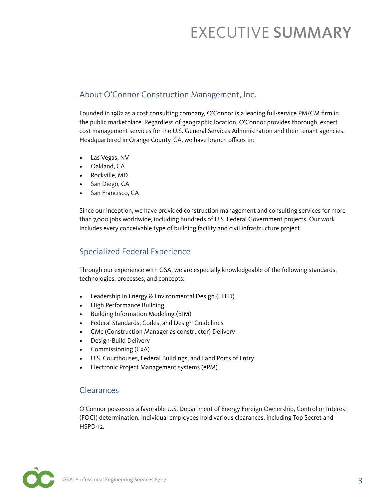### EXECUTIVE SUMMARY

#### About O'Connor Construction Management, Inc.

Founded in 1982 as a cost consulting company, O'Connor is a leading full-service PM/CM firm in the public marketplace. Regardless of geographic location, O'Connor provides thorough, expert cost management services for the U.S. General Services Administration and their tenant agencies. Headquartered in Orange County, CA, we have branch offices in:

- Las Vegas, NV
- Oakland, CA
- Rockville, MD
- San Diego, CA
- San Francisco, CA

Since our inception, we have provided construction management and consulting services for more than 7,000 jobs worldwide, including hundreds of U.S. Federal Government projects. Our work includes every conceivable type of building facility and civil infrastructure project.

#### Specialized Federal Experience

Through our experience with GSA, we are especially knowledgeable of the following standards, technologies, processes, and concepts:

- Leadership in Energy & Environmental Design (LEED)
- High Performance Building
- Building Information Modeling (BIM)
- Federal Standards, Codes, and Design Guidelines
- CMc (Construction Manager as constructor) Delivery
- Design-Build Delivery
- Commissioning (CxA)
- U.S. Courthouses, Federal Buildings, and Land Ports of Entry
- Electronic Project Management systems (ePM)

#### Clearances

O'Connor possesses a favorable U.S. Department of Energy Foreign Ownership, Control or Interest (FOCI) determination. Individual employees hold various clearances, including Top Secret and HSPD-12.

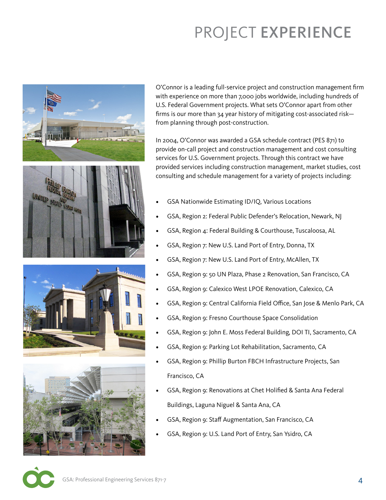# PROJECT EXPERIENCE



O'Connor is a leading full-service project and construction management firm with experience on more than 7,000 jobs worldwide, including hundreds of U.S. Federal Government projects. What sets O'Connor apart from other firms is our more than 34 year history of mitigating cost-associated risk from planning through post-construction.

In 2004, O'Connor was awarded a GSA schedule contract (PES 871) to provide on-call project and construction management and cost consulting services for U.S. Government projects. Through this contract we have provided services including construction management, market studies, cost consulting and schedule management for a variety of projects including:

- GSA Nationwide Estimating ID/IQ, Various Locations
- GSA, Region 2: Federal Public Defender's Relocation, Newark, NJ
- GSA, Region 4: Federal Building & Courthouse, Tuscaloosa, AL
- GSA, Region 7: New U.S. Land Port of Entry, Donna, TX
- GSA, Region 7: New U.S. Land Port of Entry, McAllen, TX
- GSA, Region 9: 50 UN Plaza, Phase 2 Renovation, San Francisco, CA
- GSA, Region 9: Calexico West LPOE Renovation, Calexico, CA
- GSA, Region 9: Central California Field Office, San Jose & Menlo Park, CA
- GSA, Region 9: Fresno Courthouse Space Consolidation
- GSA, Region 9: John E. Moss Federal Building, DOI TI, Sacramento, CA
- GSA, Region 9: Parking Lot Rehabilitation, Sacramento, CA
- GSA, Region 9: Phillip Burton FBCH Infrastructure Projects, San Francisco, CA
- GSA, Region 9: Renovations at Chet Holified & Santa Ana Federal Buildings, Laguna Niguel & Santa Ana, CA
- GSA, Region 9: Staff Augmentation, San Francisco, CA
- GSA, Region 9: U.S. Land Port of Entry, San Ysidro, CA

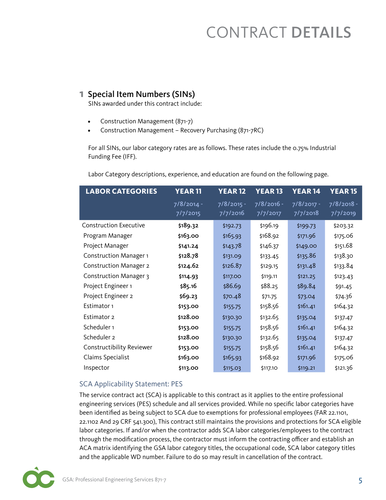#### **1** Special Item Numbers (SINs)

SINs awarded under this contract include:

- Construction Management (871-7)
- Construction Management Recovery Purchasing (871-7RC)

For all SINs, our labor category rates are as follows. These rates include the 0.75% Industrial Funding Fee (IFF).

| <b>LABOR CATEGORIES</b>       | <b>YEAR11</b>          | <b>YEAR12</b>            | <b>YEAR13</b>            | YEAR <sub>14</sub>     | <b>YEAR 15</b>         |
|-------------------------------|------------------------|--------------------------|--------------------------|------------------------|------------------------|
|                               | 7/8/2014 -<br>7/7/2015 | $7/8/2015 -$<br>7/7/2016 | $7/8/2016 -$<br>7/7/2017 | 7/8/2017 -<br>7/7/2018 | 7/8/2018 -<br>7/7/2019 |
| <b>Construction Executive</b> | \$189.32               | \$192.73                 | \$196.19                 | \$199.73               | \$203.32               |
| Program Manager               | \$163.00               | \$165.93                 | \$168.92                 | \$171.96               | \$175.06               |
| Project Manager               | \$141.24               | \$143.78                 | \$146.37                 | \$149.00               | \$151.68               |
| <b>Construction Manager 1</b> | \$128.78               | \$131.09                 | \$133.45                 | \$135.86               | \$138.30               |
| <b>Construction Manager 2</b> | \$124.62               | \$126.87                 | \$129.15                 | \$131.48               | \$133.84               |
| <b>Construction Manager 3</b> | \$114.93               | \$117.00                 | \$119.11                 | \$121.25               | \$123.43               |
| Project Engineer 1            | \$85.16                | \$86.69                  | \$88.25                  | \$89.84                | \$91.45                |
| Project Engineer 2            | \$69.23                | \$70.48                  | \$71.75                  | \$73.04                | \$74.36                |
| Estimator 1                   | \$153.00               | \$155.75                 | \$158.56                 | \$161.41               | \$164.32               |
| Estimator 2                   | \$128.00               | \$130.30                 | \$132.65                 | \$135.04               | \$137.47               |
| Scheduler 1                   | \$153.00               | \$155.75                 | \$158.56                 | \$161.41               | \$164.32               |
| Scheduler 2                   | \$128.00               | \$130.30                 | \$132.65                 | \$135.04               | \$137.47               |
| Constructibility Reviewer     | \$153.00               | \$155.75                 | \$158.56                 | \$161.41               | \$164.32               |
| Claims Specialist             | \$163.00               | \$165.93                 | \$168.92                 | \$171.96               | \$175.06               |
| Inspector                     | \$113.00               | \$115.03                 | \$117.10                 | \$119.21               | \$121.36               |

Labor Category descriptions, experience, and education are found on the following page.

#### SCA Applicability Statement: PES

The service contract act (SCA) is applicable to this contract as it applies to the entire professional engineering services (PES) schedule and all services provided. While no specific labor categories have been identified as being subject to SCA due to exemptions for professional employees (FAR 22.1101, 22.1102 And 29 CRF 541.300), This contract still maintains the provisions and protections for SCA eligible labor categories. If and/or when the contractor adds SCA labor categories/employees to the contract through the modification process, the contractor must inform the contracting officer and establish an ACA matrix identifying the GSA labor category titles, the occupational code, SCA labor category titles and the applicable WD number. Failure to do so may result in cancellation of the contract.

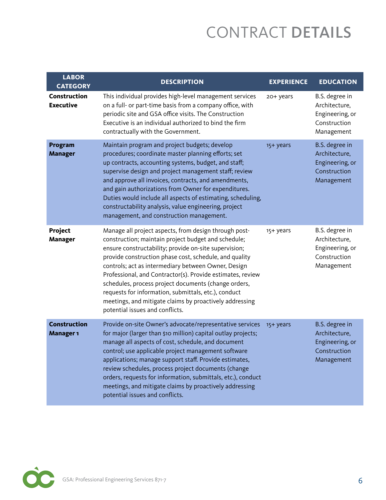| <b>LABOR</b><br><b>CATEGORY</b>             | <b>DESCRIPTION</b>                                                                                                                                                                                                                                                                                                                                                                                                                                                                                                                                                 | <b>EXPERIENCE</b> | <b>EDUCATION</b>                                                                 |
|---------------------------------------------|--------------------------------------------------------------------------------------------------------------------------------------------------------------------------------------------------------------------------------------------------------------------------------------------------------------------------------------------------------------------------------------------------------------------------------------------------------------------------------------------------------------------------------------------------------------------|-------------------|----------------------------------------------------------------------------------|
| <b>Construction</b><br><b>Executive</b>     | This individual provides high-level management services<br>on a full- or part-time basis from a company office, with<br>periodic site and GSA office visits. The Construction<br>Executive is an individual authorized to bind the firm<br>contractually with the Government.                                                                                                                                                                                                                                                                                      | 20+ years         | B.S. degree in<br>Architecture,<br>Engineering, or<br>Construction<br>Management |
| <b>Program</b><br><b>Manager</b>            | Maintain program and project budgets; develop<br>procedures; coordinate master planning efforts; set<br>up contracts, accounting systems, budget, and staff;<br>supervise design and project management staff; review<br>and approve all invoices, contracts, and amendments,<br>and gain authorizations from Owner for expenditures.<br>Duties would include all aspects of estimating, scheduling,<br>constructability analysis, value engineering, project<br>management, and construction management.                                                          | 15+ years         | B.S. degree in<br>Architecture,<br>Engineering, or<br>Construction<br>Management |
| Project<br><b>Manager</b>                   | Manage all project aspects, from design through post-<br>construction; maintain project budget and schedule;<br>ensure constructability; provide on-site supervision;<br>provide construction phase cost, schedule, and quality<br>controls; act as intermediary between Owner, Design<br>Professional, and Contractor(s). Provide estimates, review<br>schedules, process project documents (change orders,<br>requests for information, submittals, etc.), conduct<br>meetings, and mitigate claims by proactively addressing<br>potential issues and conflicts. | 15+ years         | B.S. degree in<br>Architecture,<br>Engineering, or<br>Construction<br>Management |
| <b>Construction</b><br>Manager <sub>1</sub> | Provide on-site Owner's advocate/representative services<br>for major (larger than \$10 million) capital outlay projects;<br>manage all aspects of cost, schedule, and document<br>control; use applicable project management software<br>applications; manage support staff. Provide estimates,<br>review schedules, process project documents (change<br>orders, requests for information, submittals, etc.), conduct<br>meetings, and mitigate claims by proactively addressing<br>potential issues and conflicts.                                              | 15+ years         | B.S. degree in<br>Architecture,<br>Engineering, or<br>Construction<br>Management |

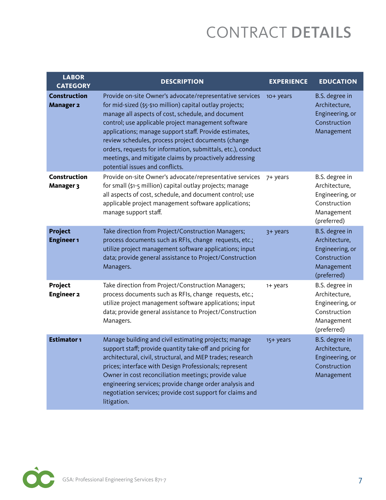| <b>LABOR</b><br><b>CATEGORY</b>         | <b>DESCRIPTION</b>                                                                                                                                                                                                                                                                                                                                                                                                                                                                                                | <b>EXPERIENCE</b> | <b>EDUCATION</b>                                                                                |
|-----------------------------------------|-------------------------------------------------------------------------------------------------------------------------------------------------------------------------------------------------------------------------------------------------------------------------------------------------------------------------------------------------------------------------------------------------------------------------------------------------------------------------------------------------------------------|-------------------|-------------------------------------------------------------------------------------------------|
| <b>Construction</b><br><b>Manager 2</b> | Provide on-site Owner's advocate/representative services<br>for mid-sized (\$5-\$10 million) capital outlay projects;<br>manage all aspects of cost, schedule, and document<br>control; use applicable project management software<br>applications; manage support staff. Provide estimates,<br>review schedules, process project documents (change<br>orders, requests for information, submittals, etc.), conduct<br>meetings, and mitigate claims by proactively addressing<br>potential issues and conflicts. | 10+ years         | B.S. degree in<br>Architecture,<br>Engineering, or<br>Construction<br>Management                |
| <b>Construction</b><br><b>Manager 3</b> | Provide on-site Owner's advocate/representative services<br>for small (\$1-5 million) capital outlay projects; manage<br>all aspects of cost, schedule, and document control; use<br>applicable project management software applications;<br>manage support staff.                                                                                                                                                                                                                                                | 7+ years          | B.S. degree in<br>Architecture,<br>Engineering, or<br>Construction<br>Management<br>(preferred) |
| <b>Project</b><br><b>Engineer 1</b>     | Take direction from Project/Construction Managers;<br>process documents such as RFIs, change requests, etc.;<br>utilize project management software applications; input<br>data; provide general assistance to Project/Construction<br>Managers.                                                                                                                                                                                                                                                                  | 3+ years          | B.S. degree in<br>Architecture,<br>Engineering, or<br>Construction<br>Management<br>(preferred) |
| Project<br><b>Engineer 2</b>            | Take direction from Project/Construction Managers;<br>process documents such as RFIs, change requests, etc.;<br>utilize project management software applications; input<br>data; provide general assistance to Project/Construction<br>Managers.                                                                                                                                                                                                                                                                  | 1+ years          | B.S. degree in<br>Architecture,<br>Engineering, or<br>Construction<br>Management<br>(preferred) |
| <b>Estimator 1</b>                      | Manage building and civil estimating projects; manage<br>support staff; provide quantity take-off and pricing for<br>architectural, civil, structural, and MEP trades; research<br>prices; interface with Design Professionals; represent<br>Owner in cost reconciliation meetings; provide value<br>engineering services; provide change order analysis and<br>negotiation services; provide cost support for claims and<br>litigation.                                                                          | 15+ years         | B.S. degree in<br>Architecture,<br>Engineering, or<br>Construction<br>Management                |

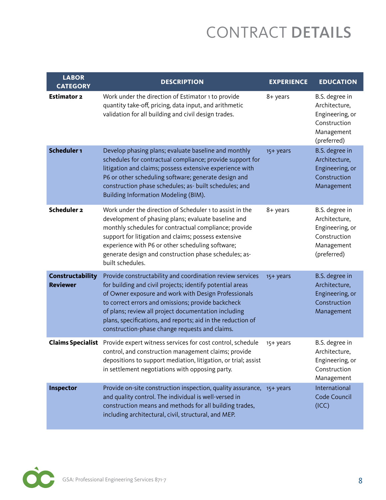| <b>LABOR</b><br><b>CATEGORY</b>     | <b>DESCRIPTION</b>                                                                                                                                                                                                                                                                                                                                                                                            | <b>EXPERIENCE</b> | <b>EDUCATION</b>                                                                                |
|-------------------------------------|---------------------------------------------------------------------------------------------------------------------------------------------------------------------------------------------------------------------------------------------------------------------------------------------------------------------------------------------------------------------------------------------------------------|-------------------|-------------------------------------------------------------------------------------------------|
| <b>Estimator 2</b>                  | Work under the direction of Estimator 1 to provide<br>quantity take-off, pricing, data input, and arithmetic<br>validation for all building and civil design trades.                                                                                                                                                                                                                                          | 8+ years          | B.S. degree in<br>Architecture,<br>Engineering, or<br>Construction<br>Management<br>(preferred) |
| Scheduler 1                         | Develop phasing plans; evaluate baseline and monthly<br>schedules for contractual compliance; provide support for<br>litigation and claims; possess extensive experience with<br>P6 or other scheduling software; generate design and<br>construction phase schedules; as- built schedules; and<br>Building Information Modeling (BIM).                                                                       | 15+ years         | B.S. degree in<br>Architecture,<br>Engineering, or<br>Construction<br>Management                |
| <b>Scheduler 2</b>                  | Work under the direction of Scheduler 1 to assist in the<br>development of phasing plans; evaluate baseline and<br>monthly schedules for contractual compliance; provide<br>support for litigation and claims; possess extensive<br>experience with P6 or other scheduling software;<br>generate design and construction phase schedules; as-<br>built schedules.                                             | 8+ years          | B.S. degree in<br>Architecture,<br>Engineering, or<br>Construction<br>Management<br>(preferred) |
| Constructability<br><b>Reviewer</b> | Provide constructability and coordination review services<br>for building and civil projects; identify potential areas<br>of Owner exposure and work with Design Professionals<br>to correct errors and omissions; provide backcheck<br>of plans; review all project documentation including<br>plans, specifications, and reports; aid in the reduction of<br>construction-phase change requests and claims. | 15+ years         | B.S. degree in<br>Architecture,<br>Engineering, or<br>Construction<br>Management                |
| <b>Claims Specialist</b>            | Provide expert witness services for cost control, schedule<br>control, and construction management claims; provide<br>depositions to support mediation, litigation, or trial; assist<br>in settlement negotiations with opposing party.                                                                                                                                                                       | 15+ years         | B.S. degree in<br>Architecture,<br>Engineering, or<br>Construction<br>Management                |
| Inspector                           | Provide on-site construction inspection, quality assurance, 15+ years<br>and quality control. The individual is well-versed in<br>construction means and methods for all building trades,<br>including architectural, civil, structural, and MEP.                                                                                                                                                             |                   | International<br>Code Council<br>(ICC)                                                          |

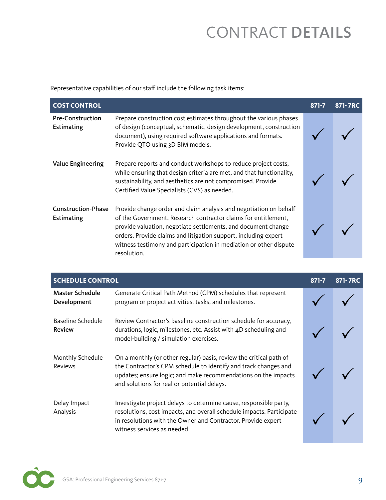Representative capabilities of our staff include the following task items:

| <b>COST CONTROL</b>                     |                                                                                                                                                                                                                                                                                                                                                             | $871 - 7$ | 871-7RC |
|-----------------------------------------|-------------------------------------------------------------------------------------------------------------------------------------------------------------------------------------------------------------------------------------------------------------------------------------------------------------------------------------------------------------|-----------|---------|
| <b>Pre-Construction</b><br>Estimating   | Prepare construction cost estimates throughout the various phases<br>of design (conceptual, schematic, design development, construction<br>document), using required software applications and formats.<br>Provide QTO using 3D BIM models.                                                                                                                 |           |         |
| <b>Value Engineering</b>                | Prepare reports and conduct workshops to reduce project costs,<br>while ensuring that design criteria are met, and that functionality,<br>sustainability, and aesthetics are not compromised. Provide<br>Certified Value Specialists (CVS) as needed.                                                                                                       |           |         |
| <b>Construction-Phase</b><br>Estimating | Provide change order and claim analysis and negotiation on behalf<br>of the Government. Research contractor claims for entitlement,<br>provide valuation, negotiate settlements, and document change<br>orders. Provide claims and litigation support, including expert<br>witness testimony and participation in mediation or other dispute<br>resolution. |           |         |

| <b>SCHEDULE CONTROL</b>            |                                                                                                                                                                                                                                                        | $871 - 7$ | 871-7RC |
|------------------------------------|--------------------------------------------------------------------------------------------------------------------------------------------------------------------------------------------------------------------------------------------------------|-----------|---------|
| Master Schedule<br>Development     | Generate Critical Path Method (CPM) schedules that represent<br>program or project activities, tasks, and milestones.                                                                                                                                  |           |         |
| Baseline Schedule<br><b>Review</b> | Review Contractor's baseline construction schedule for accuracy,<br>durations, logic, milestones, etc. Assist with 4D scheduling and<br>model-building / simulation exercises.                                                                         |           |         |
| Monthly Schedule<br><b>Reviews</b> | On a monthly (or other regular) basis, review the critical path of<br>the Contractor's CPM schedule to identify and track changes and<br>updates; ensure logic; and make recommendations on the impacts<br>and solutions for real or potential delays. |           |         |
| Delay Impact<br>Analysis           | Investigate project delays to determine cause, responsible party,<br>resolutions, cost impacts, and overall schedule impacts. Participate<br>in resolutions with the Owner and Contractor. Provide expert<br>witness services as needed.               |           |         |

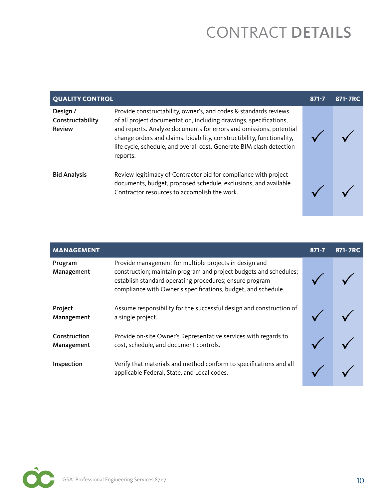|                                               | <b>QUALITY CONTROL</b><br>871-7RC<br>$871 - 7$                                                                                                                                                                                                                                                                                                                            |  |  |
|-----------------------------------------------|---------------------------------------------------------------------------------------------------------------------------------------------------------------------------------------------------------------------------------------------------------------------------------------------------------------------------------------------------------------------------|--|--|
| Design /<br>Constructability<br><b>Review</b> | Provide constructability, owner's, and codes & standards reviews<br>of all project documentation, including drawings, specifications,<br>and reports. Analyze documents for errors and omissions, potential<br>change orders and claims, bidability, constructibility, functionality,<br>life cycle, schedule, and overall cost. Generate BIM clash detection<br>reports. |  |  |
| <b>Bid Analysis</b>                           | Review legitimacy of Contractor bid for compliance with project<br>documents, budget, proposed schedule, exclusions, and available<br>Contractor resources to accomplish the work.                                                                                                                                                                                        |  |  |

| <b>MANAGEMENT</b>          |                                                                                                                                                                                                                                                         | $871 - 7$ | 871-7RC |
|----------------------------|---------------------------------------------------------------------------------------------------------------------------------------------------------------------------------------------------------------------------------------------------------|-----------|---------|
| Program<br>Management      | Provide management for multiple projects in design and<br>construction; maintain program and project budgets and schedules;<br>establish standard operating procedures; ensure program<br>compliance with Owner's specifications, budget, and schedule. |           |         |
| Project<br>Management      | Assume responsibility for the successful design and construction of<br>a single project.                                                                                                                                                                |           |         |
| Construction<br>Management | Provide on-site Owner's Representative services with regards to<br>cost, schedule, and document controls.                                                                                                                                               |           |         |
| Inspection                 | Verify that materials and method conform to specifications and all<br>applicable Federal, State, and Local codes.                                                                                                                                       |           |         |

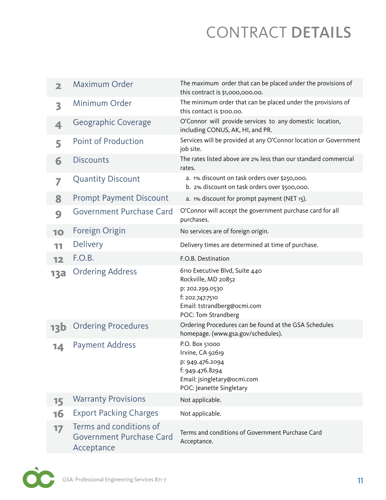| $\overline{\mathbf{2}}$ | <b>Maximum Order</b>                                                     | The maximum order that can be placed under the provisions of<br>this contract is \$1,000,000.00.                                                  |
|-------------------------|--------------------------------------------------------------------------|---------------------------------------------------------------------------------------------------------------------------------------------------|
| 3                       | Minimum Order                                                            | The minimum order that can be placed under the provisions of<br>this contact is \$100.00.                                                         |
| 4                       | Geographic Coverage                                                      | O'Connor will provide services to any domestic location,<br>including CONUS, AK, HI, and PR.                                                      |
| 5                       | <b>Point of Production</b>                                               | Services will be provided at any O'Connor location or Government<br>job site.                                                                     |
| 6                       | <b>Discounts</b>                                                         | The rates listed above are 2% less than our standard commercial<br>rates.                                                                         |
| 7                       | <b>Quantity Discount</b>                                                 | a. 1% discount on task orders over \$250,000.<br>b. 2% discount on task orders over \$500,000.                                                    |
| 8                       | <b>Prompt Payment Discount</b>                                           | a. 1% discount for prompt payment (NET 15).                                                                                                       |
| 9                       | Government Purchase Card                                                 | O'Connor will accept the government purchase card for all<br>purchases.                                                                           |
| 10                      | Foreign Origin                                                           | No services are of foreign origin.                                                                                                                |
| 11                      | <b>Delivery</b>                                                          | Delivery times are determined at time of purchase.                                                                                                |
| 12                      | F.O.B.                                                                   | F.O.B. Destination                                                                                                                                |
| <b>13a</b>              | <b>Ordering Address</b>                                                  | 6110 Executive Blvd, Suite 440<br>Rockville, MD 20852<br>p: 202.299.0530<br>f: 202.747.7510<br>Email: tstrandberg@ocmi.com<br>POC: Tom Strandberg |
| <b>13b</b>              | <b>Ordering Procedures</b>                                               | Ordering Procedures can be found at the GSA Schedules<br>homepage. (www.gsa.gov/schedules).                                                       |
| 14                      | <b>Payment Address</b>                                                   | P.O. Box 51000<br>Irvine, CA 92619<br>p: 949.476.2094<br>f: 949.476.8294<br>Email: jsingletary@ocmi.com<br>POC: Jeanette Singletary               |
| 15                      | <b>Warranty Provisions</b>                                               | Not applicable.                                                                                                                                   |
| <b>16</b>               | <b>Export Packing Charges</b>                                            | Not applicable.                                                                                                                                   |
| 17                      | Terms and conditions of<br><b>Government Purchase Card</b><br>Acceptance | Terms and conditions of Government Purchase Card<br>Acceptance.                                                                                   |